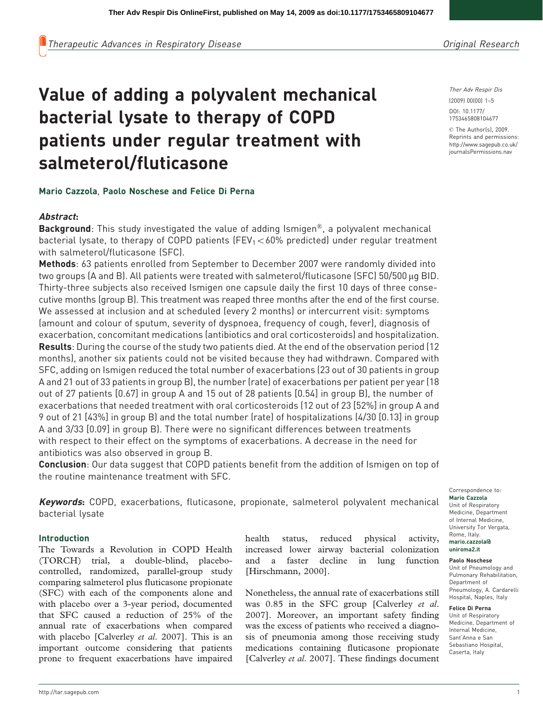Ther Adv Respir Dis

(2009) 00(00) 1–5 DOI: 10.1177/ 1753465808104677

 The Author(s), 2009. Reprints and permissions: http://www.sagepub.co.uk/ journalsPermissions.nav

# Mario Cazzola, Paolo Noschese and Felice Di Perna

salmeterol/fluticasone

## Abstract:

Background: This study investigated the value of adding Ismigen®, a polyvalent mechanical bacterial lysate, to therapy of COPD patients ( $FEV<sub>1</sub><$  60% predicted) under regular treatment with salmeterol/fluticasone (SFC).

Value of adding a polyvalent mechanical

patients under regular treatment with

bacterial lysate to therapy of COPD

Methods: 63 patients enrolled from September to December 2007 were randomly divided into two groups (A and B). All patients were treated with salmeterol/fluticasone (SFC) 50/500 µg BID. Thirty-three subjects also received Ismigen one capsule daily the first 10 days of three consecutive months (group B). This treatment was reaped three months after the end of the first course. We assessed at inclusion and at scheduled (every 2 months) or intercurrent visit: symptoms (amount and colour of sputum, severity of dyspnoea, frequency of cough, fever), diagnosis of exacerbation, concomitant medications (antibiotics and oral corticosteroids) and hospitalization. Results: During the course of the study two patients died. At the end of the observation period (12 months), another six patients could not be visited because they had withdrawn. Compared with SFC, adding on Ismigen reduced the total number of exacerbations (23 out of 30 patients in group A and 21 out of 33 patients in group B), the number (rate) of exacerbations per patient per year (18 out of 27 patients [0.67] in group A and 15 out of 28 patients [0.54] in group B), the number of exacerbations that needed treatment with oral corticosteroids (12 out of 23 [52%] in group A and 9 out of 21 [43%] in group B) and the total number (rate) of hospitalizations (4/30 [0.13] in group A and 3/33 [0.09] in group B). There were no significant differences between treatments with respect to their effect on the symptoms of exacerbations. A decrease in the need for antibiotics was also observed in group B.

**Conclusion**: Our data suggest that COPD patients benefit from the addition of Ismigen on top of the routine maintenance treatment with SFC.

Keywords: COPD, exacerbations, fluticasone, propionate, salmeterol polyvalent mechanical bacterial lysate

# Introduction

The Towards a Revolution in COPD Health (TORCH) trial, a double-blind, placebocontrolled, randomized, parallel-group study comparing salmeterol plus fluticasone propionate (SFC) with each of the components alone and with placebo over a 3-year period, documented that SFC caused a reduction of 25% of the annual rate of exacerbations when compared with placebo [Calverley et al. 2007]. This is an important outcome considering that patients prone to frequent exacerbations have impaired

health status, reduced physical activity, increased lower airway bacterial colonization and a faster decline in lung function [Hirschmann, 2000].

Nonetheless, the annual rate of exacerbations still was 0.85 in the SFC group [Calverley et al. 2007]. Moreover, an important safety finding was the excess of patients who received a diagnosis of pneumonia among those receiving study medications containing fluticasone propionate [Calverley et al. 2007]. These findings document

### Correspondence to: Mario Cazzola Unit of Respiratory Medicine, Department of Internal Medicine, University Tor Vergata,

#### Rome, Italy. mario.cazzola@ uniroma2.it

# Paolo Noschese

Unit of Pneumology and Pulmonary Rehabilitation, Department of Pneumology, A. Cardarelli Hospital, Naples, Italy

Felice Di Perna Unit of Respiratory Medicine, Department of Internal Medicine, Sant'Anna e San Sebastiano Hospital, Caserta, Italy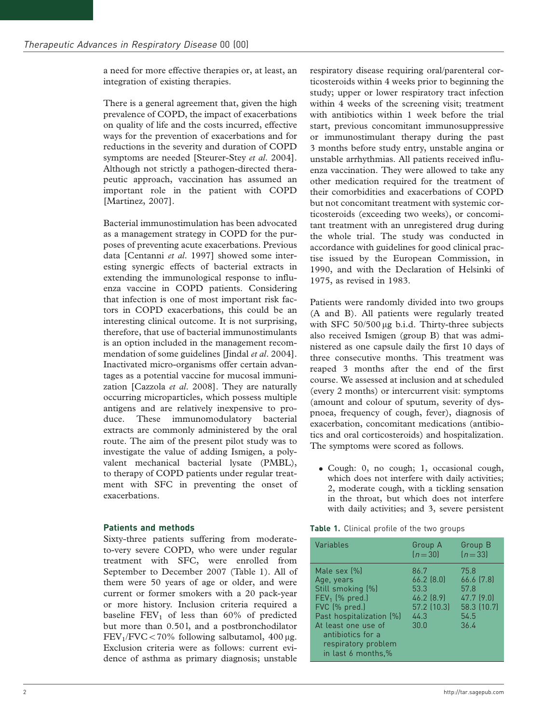a need for more effective therapies or, at least, an integration of existing therapies.

There is a general agreement that, given the high prevalence of COPD, the impact of exacerbations on quality of life and the costs incurred, effective ways for the prevention of exacerbations and for reductions in the severity and duration of COPD symptoms are needed [Steurer-Stey et al. 2004]. Although not strictly a pathogen-directed therapeutic approach, vaccination has assumed an important role in the patient with COPD [Martinez, 2007].

Bacterial immunostimulation has been advocated as a management strategy in COPD for the purposes of preventing acute exacerbations. Previous data [Centanni et al. 1997] showed some interesting synergic effects of bacterial extracts in extending the immunological response to influenza vaccine in COPD patients. Considering that infection is one of most important risk factors in COPD exacerbations, this could be an interesting clinical outcome. It is not surprising, therefore, that use of bacterial immunostimulants is an option included in the management recommendation of some guidelines [Jindal et al. 2004]. Inactivated micro-organisms offer certain advantages as a potential vaccine for mucosal immunization [Cazzola et al. 2008]. They are naturally occurring microparticles, which possess multiple antigens and are relatively inexpensive to produce. These immunomodulatory bacterial extracts are commonly administered by the oral route. The aim of the present pilot study was to investigate the value of adding Ismigen, a polyvalent mechanical bacterial lysate (PMBL), to therapy of COPD patients under regular treatment with SFC in preventing the onset of exacerbations.

# Patients and methods

Sixty-three patients suffering from moderateto-very severe COPD, who were under regular treatment with SFC, were enrolled from September to December 2007 (Table 1). All of them were 50 years of age or older, and were current or former smokers with a 20 pack-year or more history. Inclusion criteria required a baseline  $FEV<sub>1</sub>$  of less than 60% of predicted but more than 0.50 l, and a postbronchodilator  $FEV<sub>1</sub>/FVC<70%$  following salbutamol, 400 µg. Exclusion criteria were as follows: current evidence of asthma as primary diagnosis; unstable

respiratory disease requiring oral/parenteral corticosteroids within 4 weeks prior to beginning the study; upper or lower respiratory tract infection within 4 weeks of the screening visit; treatment with antibiotics within 1 week before the trial start, previous concomitant immunosuppressive or immunostimulant therapy during the past 3 months before study entry, unstable angina or unstable arrhythmias. All patients received influenza vaccination. They were allowed to take any other medication required for the treatment of their comorbidities and exacerbations of COPD but not concomitant treatment with systemic corticosteroids (exceeding two weeks), or concomitant treatment with an unregistered drug during the whole trial. The study was conducted in accordance with guidelines for good clinical practise issued by the European Commission, in 1990, and with the Declaration of Helsinki of 1975, as revised in 1983.

Patients were randomly divided into two groups (A and B). All patients were regularly treated with SFC 50/500 µg b.i.d. Thirty-three subjects also received Ismigen (group B) that was administered as one capsule daily the first 10 days of three consecutive months. This treatment was reaped 3 months after the end of the first course. We assessed at inclusion and at scheduled (every 2 months) or intercurrent visit: symptoms (amount and colour of sputum, severity of dyspnoea, frequency of cough, fever), diagnosis of exacerbation, concomitant medications (antibiotics and oral corticosteroids) and hospitalization. The symptoms were scored as follows.

- Cough: 0, no cough; 1, occasional cough, which does not interfere with daily activities; 2, moderate cough, with a tickling sensation in the throat, but which does not interfere with daily activities; and 3, severe persistent

| <b>Table 1.</b> Clinical profile of the two groups |  |  |  |  |
|----------------------------------------------------|--|--|--|--|
|----------------------------------------------------|--|--|--|--|

| Variables                                                                                                                                                                                                 | Group A<br>$(n=30)$                                                             | Group B<br>$[n=33]$                                                     |
|-----------------------------------------------------------------------------------------------------------------------------------------------------------------------------------------------------------|---------------------------------------------------------------------------------|-------------------------------------------------------------------------|
| Male sex [%]<br>Age, years<br>Still smoking (%)<br>$FEV1$ (% pred.)<br>FVC (% pred.)<br>Past hospitalization (%)<br>At least one use of<br>antibiotics for a<br>respiratory problem<br>in last 6 months.% | 86.7<br>$66.2$ $(8.0)$<br>53.3<br>$46.2$ $(8.9)$<br>57.2 (10.3)<br>44.3<br>30.0 | 75.8<br>66.6 [7.8]<br>57.8<br>47.7 (9.0)<br>58.3 (10.7)<br>54.5<br>36.4 |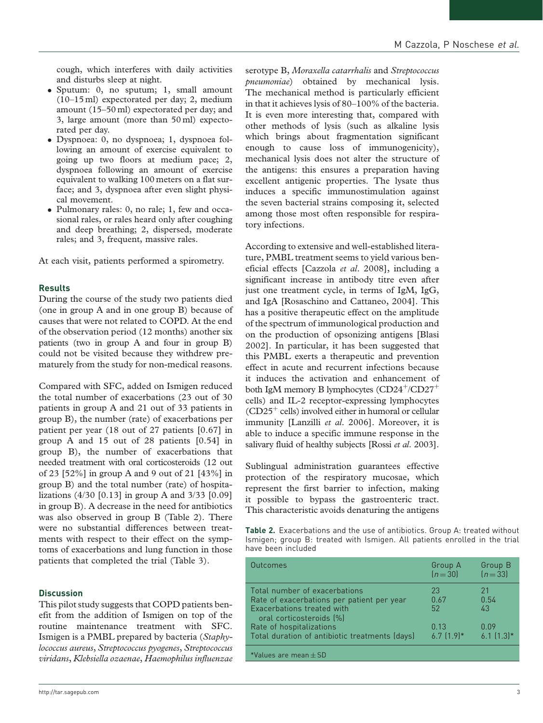cough, which interferes with daily activities and disturbs sleep at night.

- Sputum: 0, no sputum; 1, small amount (10–15 ml) expectorated per day; 2, medium amount (15–50 ml) expectorated per day; and 3, large amount (more than 50 ml) expectorated per day.
- Dyspnoea: 0, no dyspnoea; 1, dyspnoea following an amount of exercise equivalent to going up two floors at medium pace; 2, dyspnoea following an amount of exercise equivalent to walking 100 meters on a flat surface; and 3, dyspnoea after even slight physical movement.
- Pulmonary rales: 0, no rale; 1, few and occasional rales, or rales heard only after coughing and deep breathing; 2, dispersed, moderate rales; and 3, frequent, massive rales.

At each visit, patients performed a spirometry.

# Results

During the course of the study two patients died (one in group A and in one group B) because of causes that were not related to COPD. At the end of the observation period (12 months) another six patients (two in group A and four in group B) could not be visited because they withdrew prematurely from the study for non-medical reasons.

Compared with SFC, added on Ismigen reduced the total number of exacerbations (23 out of 30 patients in group A and 21 out of 33 patients in group B), the number (rate) of exacerbations per patient per year (18 out of 27 patients [0.67] in group A and 15 out of 28 patients [0.54] in group B), the number of exacerbations that needed treatment with oral corticosteroids (12 out of 23 [52%] in group A and 9 out of 21 [43%] in group B) and the total number (rate) of hospitalizations (4/30 [0.13] in group A and 3/33 [0.09] in group B). A decrease in the need for antibiotics was also observed in group B (Table 2). There were no substantial differences between treatments with respect to their effect on the symptoms of exacerbations and lung function in those patients that completed the trial (Table 3).

# **Discussion**

This pilot study suggests that COPD patients benefit from the addition of Ismigen on top of the routine maintenance treatment with SFC. Ismigen is a PMBL prepared by bacteria (Staphylococcus aureus, Streptococcus pyogenes, Streptococcus viridans, Klebsiella ozaenae, Haemophilus influenzae

serotype B, Moraxella catarrhalis and Streptococcus pneumoniae) obtained by mechanical lysis. The mechanical method is particularly efficient in that it achieves lysis of 80–100% of the bacteria. It is even more interesting that, compared with other methods of lysis (such as alkaline lysis which brings about fragmentation significant enough to cause loss of immunogenicity), mechanical lysis does not alter the structure of the antigens: this ensures a preparation having excellent antigenic properties. The lysate thus induces a specific immunostimulation against the seven bacterial strains composing it, selected among those most often responsible for respiratory infections.

According to extensive and well-established literature, PMBL treatment seems to yield various beneficial effects [Cazzola et al. 2008], including a significant increase in antibody titre even after just one treatment cycle, in terms of IgM, IgG, and IgA [Rosaschino and Cattaneo, 2004]. This has a positive therapeutic effect on the amplitude of the spectrum of immunological production and on the production of opsonizing antigens [Blasi 2002]. In particular, it has been suggested that this PMBL exerts a therapeutic and prevention effect in acute and recurrent infections because it induces the activation and enhancement of both IgM memory B lymphocytes  $(CD24<sup>+</sup>/CD27<sup>+</sup>)$ cells) and IL-2 receptor-expressing lymphocytes  $(CD25<sup>+</sup>$  cells) involved either in humoral or cellular immunity [Lanzilli et al. 2006]. Moreover, it is able to induce a specific immune response in the salivary fluid of healthy subjects [Rossi et al. 2003].

Sublingual administration guarantees effective protection of the respiratory mucosae, which represent the first barrier to infection, making it possible to bypass the gastroenteric tract. This characteristic avoids denaturing the antigens

Table 2. Exacerbations and the use of antibiotics. Group A: treated without Ismigen; group B: treated with Ismigen. All patients enrolled in the trial have been included

| Outcomes                                                                                                                              | Group A<br>$(n=30)$    | Group B<br>$(n=33)$ |
|---------------------------------------------------------------------------------------------------------------------------------------|------------------------|---------------------|
| Total number of exacerbations<br>Rate of exacerbations per patient per year<br>Exacerbations treated with<br>oral corticosteroids (%) | 23<br>0.67<br>52       | 21<br>0.54<br>43    |
| Rate of hospitalizations<br>Total duration of antibiotic treatments (days)                                                            | 0.13<br>$6.7$ $(1.9)*$ | 0.09<br>$6.1(1.3)*$ |
| *Values are mean $\pm$ SD                                                                                                             |                        |                     |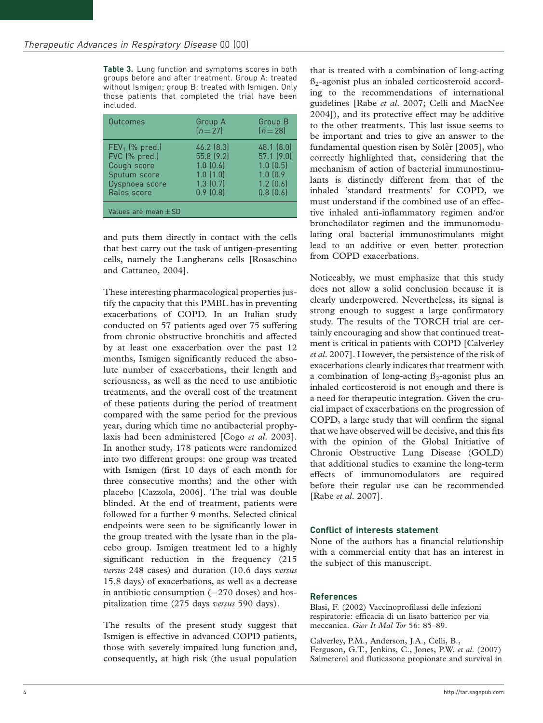Table 3. Lung function and symptoms scores in both groups before and after treatment. Group A: treated without Ismigen; group B: treated with Ismigen. Only those patients that completed the trial have been included.

| Outcomes                                                                                          | Group A<br>$(n=27)$                                                                     | Group B<br>$[n=28]$                                                                                  |
|---------------------------------------------------------------------------------------------------|-----------------------------------------------------------------------------------------|------------------------------------------------------------------------------------------------------|
| $FEV1$ (% pred.)<br>FVC (% pred.)<br>Cough score<br>Sputum score<br>Dyspnoea score<br>Rales score | 46.2 [8.3]<br>55.8 (9.2)<br>$1.0$ $(0.6)$<br>1.0(1.0)<br>$1.3$ $(0.7)$<br>$0.9$ $(0.8)$ | $48.1$ $(8.0)$<br>$57.1$ $(9.0)$<br>$1.0$ $(0.5)$<br>$1.0$ $(0.9)$<br>$1.2$ $[0.6]$<br>$0.8$ $(0.6)$ |
| Values are mean $\pm$ SD                                                                          |                                                                                         |                                                                                                      |

and puts them directly in contact with the cells that best carry out the task of antigen-presenting cells, namely the Langherans cells [Rosaschino and Cattaneo, 2004].

These interesting pharmacological properties justify the capacity that this PMBL has in preventing exacerbations of COPD. In an Italian study conducted on 57 patients aged over 75 suffering from chronic obstructive bronchitis and affected by at least one exacerbation over the past 12 months, Ismigen significantly reduced the absolute number of exacerbations, their length and seriousness, as well as the need to use antibiotic treatments, and the overall cost of the treatment of these patients during the period of treatment compared with the same period for the previous year, during which time no antibacterial prophylaxis had been administered [Cogo et al. 2003]. In another study, 178 patients were randomized into two different groups: one group was treated with Ismigen (first 10 days of each month for three consecutive months) and the other with placebo [Cazzola, 2006]. The trial was double blinded. At the end of treatment, patients were followed for a further 9 months. Selected clinical endpoints were seen to be significantly lower in the group treated with the lysate than in the placebo group. Ismigen treatment led to a highly significant reduction in the frequency (215 versus 248 cases) and duration (10.6 days versus 15.8 days) of exacerbations, as well as a decrease in antibiotic consumption  $(-270 \text{ doses})$  and hospitalization time (275 days versus 590 days).

The results of the present study suggest that Ismigen is effective in advanced COPD patients, those with severely impaired lung function and, consequently, at high risk (the usual population

that is treated with a combination of long-acting  $B<sub>2</sub>$ -agonist plus an inhaled corticosteroid according to the recommendations of international guidelines [Rabe et al. 2007; Celli and MacNee 2004]), and its protective effect may be additive to the other treatments. This last issue seems to be important and tries to give an answer to the fundamental question risen by Solèr [2005], who correctly highlighted that, considering that the mechanism of action of bacterial immunostimulants is distinctly different from that of the inhaled 'standard treatments' for COPD, we must understand if the combined use of an effective inhaled anti-inflammatory regimen and/or bronchodilator regimen and the immunomodulating oral bacterial immunostimulants might lead to an additive or even better protection from COPD exacerbations.

Noticeably, we must emphasize that this study does not allow a solid conclusion because it is clearly underpowered. Nevertheless, its signal is strong enough to suggest a large confirmatory study. The results of the TORCH trial are certainly encouraging and show that continued treatment is critical in patients with COPD [Calverley et al. 2007]. However, the persistence of the risk of exacerbations clearly indicates that treatment with a combination of long-acting  $\beta_2$ -agonist plus an inhaled corticosteroid is not enough and there is a need for therapeutic integration. Given the crucial impact of exacerbations on the progression of COPD, a large study that will confirm the signal that we have observed will be decisive, and this fits with the opinion of the Global Initiative of Chronic Obstructive Lung Disease (GOLD) that additional studies to examine the long-term effects of immunomodulators are required before their regular use can be recommended [Rabe et al. 2007].

## Conflict of interests statement

None of the authors has a financial relationship with a commercial entity that has an interest in the subject of this manuscript.

# References

Blasi, F. (2002) Vaccinoprofilassi delle infezioni respiratorie: efficacia di un lisato batterico per via meccanica. Gior It Mal Tor 56: 85–89.

Calverley, P.M., Anderson, J.A., Celli, B., Ferguson, G.T., Jenkins, C., Jones, P.W. et al. (2007) Salmeterol and fluticasone propionate and survival in